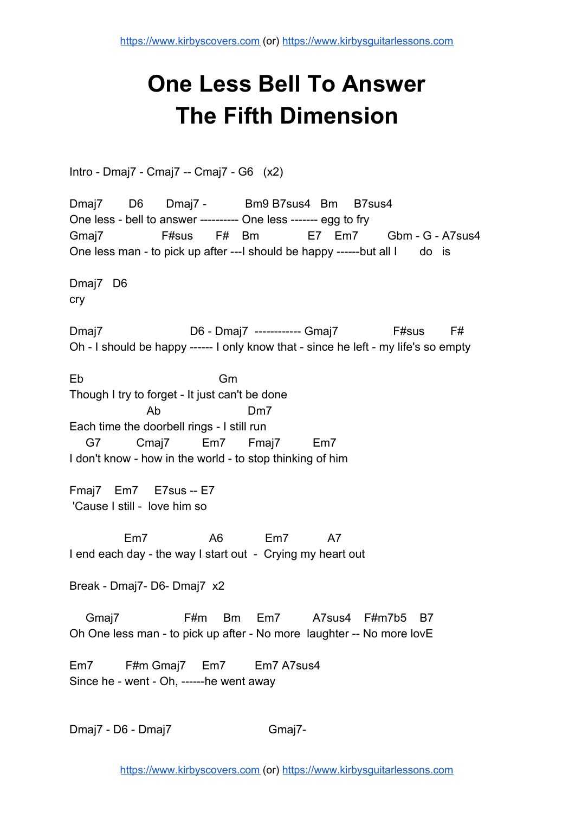## **One Less Bell To Answer The Fifth Dimension**

Intro - Dmaj7 - Cmaj7 -- Cmaj7 - G6 (x2)

Dmaj7 D6 Dmaj7 - Bm9 B7sus4 Bm B7sus4 One less - bell to answer ---------- One less ------- egg to fry Gmaj7 F#sus F# Bm E7 Em7 Gbm - G - A7sus4 One less man - to pick up after ---I should be happy ------but all I do is

Dmaj7 D6 cry

Dmaj7 D6 - Dmaj7 ------------ Gmaj7 F#sus F# Oh - I should be happy ------ I only know that - since he left - my life's so empty

Eb Gm Though I try to forget - It just can't be done Ab Dm7 Each time the doorbell rings - I still run G7 Cmaj7 Em7 Fmaj7 Em7 I don't know - how in the world - to stop thinking of him

Fmaj7 Em7 E7sus -- E7 'Cause I still - love him so

 Em7 A6 Em7 A7 I end each day - the way I start out - Crying my heart out

Break - Dmaj7- D6- Dmaj7 x2

 Gmaj7 F#m Bm Em7 A7sus4 F#m7b5 B7 Oh One less man - to pick up after - No more laughter -- No more lovE

Em7 F#m Gmaj7 Em7 Em7 A7sus4 Since he - went - Oh, ------he went away

Dmaj7 - D6 - Dmaj7 Gmaj7 -